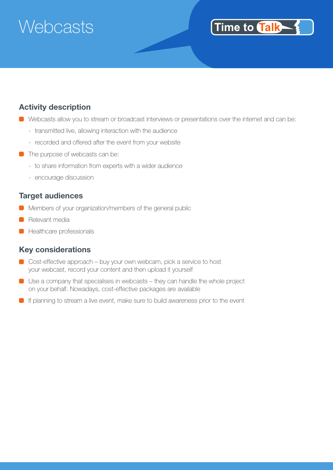# **Webcasts**

### Time to Talk

#### **Activity description**

- Webcasts allow you to stream or broadcast interviews or presentations over the internet and can be:
	- transmitted live, allowing interaction with the audience
	- recorded and offered after the event from your website
- **The purpose of webcasts can be:** 
	- to share information from experts with a wider audience
	- encourage discussion

#### **Target audiences**

- **Members of your organization/members of the general public**
- Relevant media
- **C** Healthcare professionals

#### **Key considerations**

- Cost-effective approach buy your own webcam, pick a service to host your webcast, record your content and then upload it yourself
- Use a company that specialises in webcasts they can handle the whole project on your behalf. Nowadays, cost-effective packages are available
- **If planning to stream a live event, make sure to build awareness prior to the event**